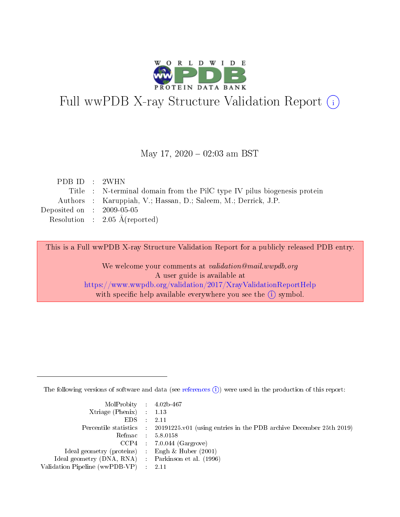

# Full wwPDB X-ray Structure Validation Report (i)

#### May 17,  $2020 - 02:03$  am BST

| PDB ID : 2WHN               |                                                                          |
|-----------------------------|--------------------------------------------------------------------------|
|                             | Title : N-terminal domain from the PilC type IV pilus biogenesis protein |
|                             | Authors : Karuppiah, V.; Hassan, D.; Saleem, M.; Derrick, J.P.           |
| Deposited on : $2009-05-05$ |                                                                          |
|                             | Resolution : $2.05 \text{ Å}$ (reported)                                 |
|                             |                                                                          |

This is a Full wwPDB X-ray Structure Validation Report for a publicly released PDB entry.

We welcome your comments at validation@mail.wwpdb.org A user guide is available at <https://www.wwpdb.org/validation/2017/XrayValidationReportHelp> with specific help available everywhere you see the  $(i)$  symbol.

The following versions of software and data (see [references](https://www.wwpdb.org/validation/2017/XrayValidationReportHelp#references)  $(i)$ ) were used in the production of this report:

| MolProbity : $4.02b-467$                            |                                                                                            |
|-----------------------------------------------------|--------------------------------------------------------------------------------------------|
| Xtriage (Phenix) $: 1.13$                           |                                                                                            |
| EDS -                                               | 2.11                                                                                       |
|                                                     | Percentile statistics : 20191225.v01 (using entries in the PDB archive December 25th 2019) |
|                                                     | Refmac 58.0158                                                                             |
|                                                     | $CCP4$ 7.0.044 (Gargrove)                                                                  |
| Ideal geometry (proteins) : Engh $\&$ Huber (2001)  |                                                                                            |
| Ideal geometry (DNA, RNA) : Parkinson et al. (1996) |                                                                                            |
| Validation Pipeline (wwPDB-VP)                      | -2.11                                                                                      |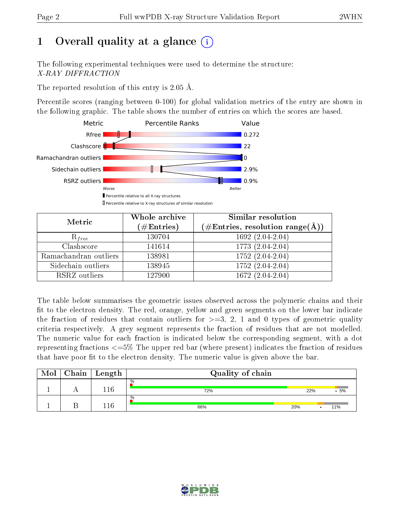## 1 [O](https://www.wwpdb.org/validation/2017/XrayValidationReportHelp#overall_quality)verall quality at a glance  $(i)$

The following experimental techniques were used to determine the structure: X-RAY DIFFRACTION

The reported resolution of this entry is 2.05 Å.

Percentile scores (ranging between 0-100) for global validation metrics of the entry are shown in the following graphic. The table shows the number of entries on which the scores are based.



| Metric                | Whole archive<br>$(\#\text{Entries})$ | Similar resolution<br>$(\#\text{Entries}, \, \text{resolution range}(\textup{\AA}))$ |
|-----------------------|---------------------------------------|--------------------------------------------------------------------------------------|
| $R_{free}$            | 130704                                | 1692 (2.04-2.04)                                                                     |
| Clashscore            | 141614                                | 1773 (2.04-2.04)                                                                     |
| Ramachandran outliers | 138981                                | $\overline{1752 (2.04-2.04)}$                                                        |
| Sidechain outliers    | 138945                                | 1752 (2.04-2.04)                                                                     |
| RSRZ outliers         | 127900                                | $1672(2.04-2.04)$                                                                    |

The table below summarises the geometric issues observed across the polymeric chains and their fit to the electron density. The red, orange, yellow and green segments on the lower bar indicate the fraction of residues that contain outliers for  $>=3, 2, 1$  and 0 types of geometric quality criteria respectively. A grey segment represents the fraction of residues that are not modelled. The numeric value for each fraction is indicated below the corresponding segment, with a dot representing fractions  $\epsilon=5\%$  The upper red bar (where present) indicates the fraction of residues that have poor fit to the electron density. The numeric value is given above the bar.

| Mol | Chain | ∣ Length | Quality of chain |     |     |  |  |
|-----|-------|----------|------------------|-----|-----|--|--|
|     |       | 116      | $\%$<br>72%      | 22% | .5% |  |  |
|     |       | .16      | $\%$<br>66%      | 20% | 11% |  |  |

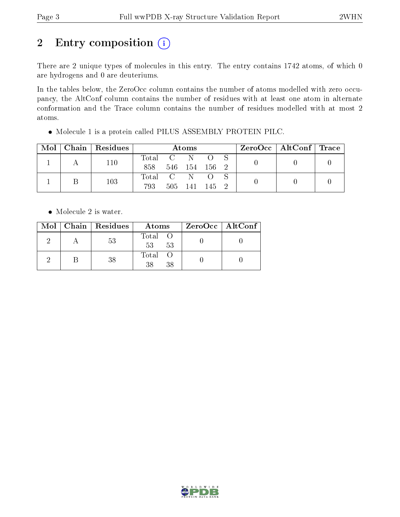# 2 Entry composition (i)

There are 2 unique types of molecules in this entry. The entry contains 1742 atoms, of which 0 are hydrogens and 0 are deuteriums.

In the tables below, the ZeroOcc column contains the number of atoms modelled with zero occupancy, the AltConf column contains the number of residues with at least one atom in alternate conformation and the Trace column contains the number of residues modelled with at most 2 atoms.

| Mol | Chain   Residues | <b>Atoms</b> |                            |               |       |  | $\text{ZeroOcc}$   AltConf   Trace |  |
|-----|------------------|--------------|----------------------------|---------------|-------|--|------------------------------------|--|
|     | 110              | Total C N    |                            |               |       |  |                                    |  |
|     |                  | 858          |                            | 546 154 156 2 |       |  |                                    |  |
|     |                  | Total        | $\mathcal{C} = \mathbb{N}$ |               |       |  |                                    |  |
|     | 103              | 793          |                            | 505 141       | 145 2 |  |                                    |  |

Molecule 1 is a protein called PILUS ASSEMBLY PROTEIN PILC.

• Molecule 2 is water.

|  | Mol   Chain   Residues | Atoms               | $ZeroOcc \   \ AltConf \  $ |  |
|--|------------------------|---------------------|-----------------------------|--|
|  | 53                     | Total O<br>53<br>53 |                             |  |
|  | 38                     | Total O<br>38       |                             |  |

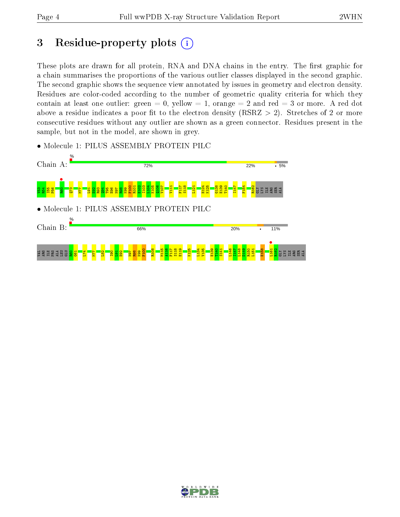ALA

## 3 Residue-property plots  $(i)$

These plots are drawn for all protein, RNA and DNA chains in the entry. The first graphic for a chain summarises the proportions of the various outlier classes displayed in the second graphic. The second graphic shows the sequence view annotated by issues in geometry and electron density. Residues are color-coded according to the number of geometric quality criteria for which they contain at least one outlier: green  $= 0$ , yellow  $= 1$ , orange  $= 2$  and red  $= 3$  or more. A red dot above a residue indicates a poor fit to the electron density (RSRZ  $> 2$ ). Stretches of 2 or more consecutive residues without any outlier are shown as a green connector. Residues present in the sample, but not in the model, are shown in grey.



• Molecule 1: PILUS ASSEMBLY PROTEIN PILC

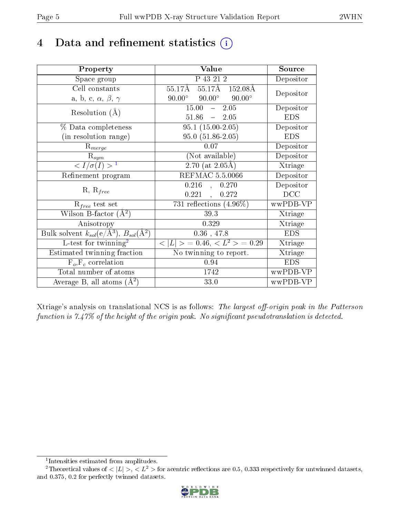## 4 Data and refinement statistics  $(i)$

| Property                                                         | Value                                            | Source     |
|------------------------------------------------------------------|--------------------------------------------------|------------|
| Space group                                                      | P 43 21 2                                        | Depositor  |
| Cell constants                                                   | 55.17Å 55.17Å 152.08Å                            | Depositor  |
| a, b, c, $\alpha$ , $\beta$ , $\gamma$                           | $90.00^{\circ}$ $90.00^{\circ}$<br>$90.00^\circ$ |            |
| Resolution $(A)$                                                 | $-2.05$<br>15.00                                 | Depositor  |
|                                                                  | $51.86 - 2.05$                                   | <b>EDS</b> |
| $\%$ Data completeness                                           | $95.1(15.00-2.05)$                               | Depositor  |
| (in resolution range)                                            | 95.0 (51.86-2.05)                                | <b>EDS</b> |
| $R_{merge}$                                                      | 0.07                                             | Depositor  |
| $\mathrm{R}_{sym}$                                               | (Not available)                                  | Depositor  |
| $\langle I/\sigma(I) \rangle^{-1}$                               | $2.70$ (at $2.05\text{\AA}$ )                    | Xtriage    |
| Refinement program                                               | <b>REFMAC 5.5.0066</b>                           | Depositor  |
|                                                                  | $0.216$ ,<br>0.270                               | Depositor  |
| $R, R_{free}$                                                    | 0.221,<br>0.272                                  | DCC        |
| $R_{free}$ test set                                              | 731 reflections $(4.96\%)$                       | wwPDB-VP   |
| Wilson B-factor $(A^2)$                                          | 39.3                                             | Xtriage    |
| Anisotropy                                                       | 0.329                                            | Xtriage    |
| Bulk solvent $k_{sol}(\text{e}/\text{A}^3), B_{sol}(\text{A}^2)$ | $0.36$ , 47.8                                    | <b>EDS</b> |
| L-test for $\mathrm{twinning}^2$                                 | $< L >$ = 0.46, $< L2 >$ = 0.29                  | Xtriage    |
| Estimated twinning fraction                                      | No twinning to report.                           | Xtriage    |
| $\overline{F_o}, \overline{F_c}$ correlation                     | 0.94                                             | <b>EDS</b> |
| Total number of atoms                                            | 1742                                             | wwPDB-VP   |
| Average B, all atoms $(A^2)$                                     | 33.0                                             | wwPDB-VP   |

Xtriage's analysis on translational NCS is as follows: The largest off-origin peak in the Patterson function is  $7.47\%$  of the height of the origin peak. No significant pseudotranslation is detected.

<sup>&</sup>lt;sup>2</sup>Theoretical values of  $\langle |L| \rangle$ ,  $\langle L^2 \rangle$  for acentric reflections are 0.5, 0.333 respectively for untwinned datasets, and 0.375, 0.2 for perfectly twinned datasets.



<span id="page-4-1"></span><span id="page-4-0"></span><sup>1</sup> Intensities estimated from amplitudes.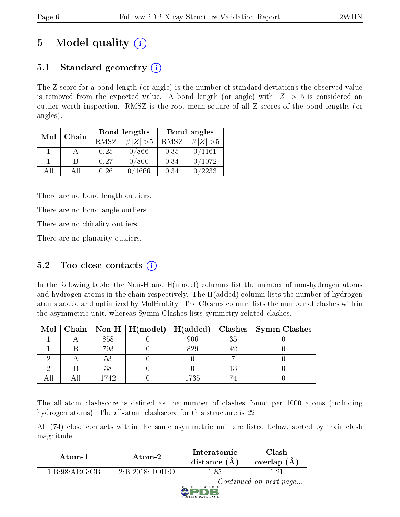## 5 Model quality  $(i)$

### 5.1 Standard geometry  $(i)$

The Z score for a bond length (or angle) is the number of standard deviations the observed value is removed from the expected value. A bond length (or angle) with  $|Z| > 5$  is considered an outlier worth inspection. RMSZ is the root-mean-square of all Z scores of the bond lengths (or angles).

| Mol | Chain |      | Bond lengths | Bond angles |               |
|-----|-------|------|--------------|-------------|---------------|
|     |       | RMSZ | $\# Z  > 5$  | RMSZ        | $\# Z  > 5$   |
|     |       | 0.25 | 0/866        | 0.35        | 0/1161        |
|     | R     | 0.27 | 0/800        | 0.34        | 0/1072        |
| AH  | All   | 0.26 | 1666         | 0.34        | $^\prime2233$ |

There are no bond length outliers.

There are no bond angle outliers.

There are no chirality outliers.

There are no planarity outliers.

### $5.2$  Too-close contacts  $(i)$

In the following table, the Non-H and H(model) columns list the number of non-hydrogen atoms and hydrogen atoms in the chain respectively. The H(added) column lists the number of hydrogen atoms added and optimized by MolProbity. The Clashes column lists the number of clashes within the asymmetric unit, whereas Symm-Clashes lists symmetry related clashes.

|  |      |      |    | Mol   Chain   Non-H   H(model)   H(added)   Clashes   Symm-Clashes |
|--|------|------|----|--------------------------------------------------------------------|
|  | 858  | 206  | 35 |                                                                    |
|  | 793  | 829  |    |                                                                    |
|  |      |      |    |                                                                    |
|  | 38   |      |    |                                                                    |
|  | 1742 | 1735 |    |                                                                    |

The all-atom clashscore is defined as the number of clashes found per 1000 atoms (including hydrogen atoms). The all-atom clashscore for this structure is 22.

All (74) close contacts within the same asymmetric unit are listed below, sorted by their clash magnitude.

| Atom-1        | Atom-2                                           | Interatomic<br>distance $(A)$ | <b>Clash</b><br>overlap (A) |
|---------------|--------------------------------------------------|-------------------------------|-----------------------------|
| 1:B:98:ARG:CB | $2 \cdot R \cdot 2018 \cdot H \cap H \cdot \cap$ | -85                           | - 631                       |



Continued on next page...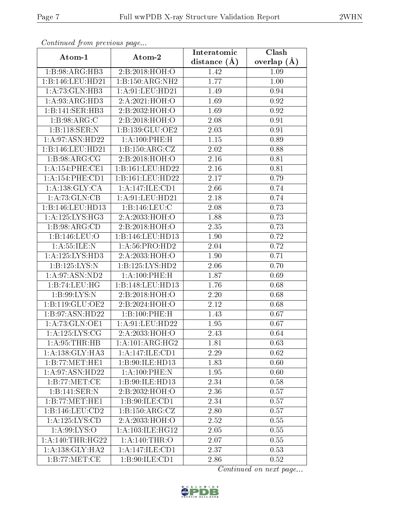| Commuca from previous page |                           | Interatomic    | Clash         |
|----------------------------|---------------------------|----------------|---------------|
| Atom-1                     | Atom-2                    | distance $(A)$ | overlap $(A)$ |
| 1:B:98:ARG:HB3             | 2:B:2018:HOH:O            | 1.42           | 1.09          |
| 1:B:146:LEU:HD21           | 1:B:150:ARG:NH2           | 1.77           | $1.00\,$      |
| 1: A:73: GLN:HB3           | 1:A:91:LEU:HD21           | 1.49           | 0.94          |
| 1: A:93:ARG:HD3            | 2:A:2021:HOH:O            | 1.69           | 0.92          |
| 1:B:141:SER:HB3            | 2:B:2032:HOH:O            | 1.69           | 0.92          |
| 1: B:98:ARG:C              | 2:B:2018:HOH:O            | 2.08           | 0.91          |
| 1:B:118:SER:N              | 1:B:139:GLU:OE2           | 2.03           | 0.91          |
| 1: A:97: ASN:HD22          | 1: A:100: PHE:H           | 1.15           | 0.89          |
| 1:B:146:LEU:HD21           | 1: B: 150: ARG: CZ        | 2.02           | 0.88          |
| 1: B:98: ARG: CG           | 2:B:2018:HOH:O            | 2.16           | 0.81          |
| 1: A:154:PHE:CE1           | 1:B:161:LEU:HD22          | 2.16           | 0.81          |
| 1:A:154:PHE:CD1            | 1:B:161:LEU:HD22          | 2.17           | 0.79          |
| 1: A: 138: GLY: CA         | 1:A:147:ILE:CD1           | 2.66           | 0.74          |
| 1:A:73:GLN:CB              | $1:\!A:\!91:\!LEU:\!HD21$ | 2.18           | 0.74          |
| 1:B:146:LEU:HD13           | 1:B:146:LEU:C             | 2.08           | 0.73          |
| 1:A:125:LYS:HG3            | 2:A:2033:HOH:O            | 1.88           | 0.73          |
| 1:B:98:ARG:CD              | 2: B: 2018: HOH:O         | 2.35           | 0.73          |
| 1:B:146:LEU:O              | 1:B:146:LEU:HD13          | 1.90           | 0.72          |
| 1: A: 55: ILE:N            | 1:A:56:PRO:HD2            | 2.04           | 0.72          |
| 1:A:125:LYS:HD3            | 2:A:2033:HOH:O            | 1.90           | 0.71          |
| 1:B:125:LYS:N              | 1:B:125:LYS:HD2           | 2.06           | 0.70          |
| 1: A:97: ASN:ND2           | 1: A:100: PHE:H           | 1.87           | 0.69          |
| 1:B:74:LEU:HG              | 1:B:148:LEU:HD13          | 1.76           | 0.68          |
| 1: B:99: LYS:N             | 2:B:2018:HOH:O            | 2.20           | 0.68          |
| 1:B:119:GLU:OE2            | 2:B:2024:HOH:O            | 2.12           | 0.68          |
| 1:B:97:ASN:HD22            | 1:B:100:PHE:H             | 1.43           | 0.67          |
| 1:A:73:GLN:OE1             | 1:A:91:LEU:HD22           | 1.95           | 0.67          |
| 1: A: 125: LYS: CG         | 2:A:2033:HOH:O            | 2.43           | 0.64          |
| 1: A:95:THR:HB             | 1: A:101: ARG: HG2        | 1.81           | 0.63          |
| 1:A:138:GLY:HAA            | 1:A:147:ILE:CD1           | 2.29           | 0.62          |
| 1:B:77:MET:HE1             | 1:B:90:ILE:HD13           | 1.83           | 0.60          |
| 1:A:97:ASN:HD22            | 1:A:100:PHE:N             | 1.95           | 0.60          |
| 1:B:77:MET:CE              | 1:B:90:ILE:HD13           | 2.34           | 0.58          |
| 1:B:141:SER:N              | 2:B:2032:HOH:O            | 2.36           | 0.57          |
| 1:B:77:MET:HE1             | 1:B:90:ILE:CD1            | 2.34           | 0.57          |
| 1:B:146:LEU:CD2            | 1:B:150:ARG:CZ            | 2.80           | 0.57          |
| 1:A:125:LYS:CD             | 2:A:2033:HOH:O            | 2.52           | 0.55          |
| 1:A:99:LYS:O               | 1: A:103: ILE: HG12       | 2.05           | 0.55          |
| 1:A:140:THR:HG22           | 1: A:140:THR:O            | 2.07           | 0.55          |
| 1: A: 138: GLY: HA2        | 1:A:147:ILE:CD1           | 2.37           | 0.53          |
| 1:B:77:MET:CE              | 1: B:90: ILE: CD1         | 2.86           | 0.52          |

Continued from previous page.

Continued on next page...

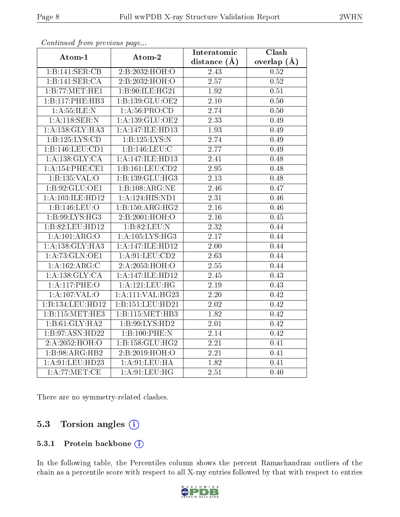| $\sum_{i=1}^{n}$<br>Atom-1 | Atom-2              | Interatomic       | $\overline{\text{Clash}}$ |
|----------------------------|---------------------|-------------------|---------------------------|
|                            |                     | distance $(A)$    | overlap $(\AA)$           |
| 1:B:141:SER:CB             | 2:B:2032:HOH:O      | 2.43              | 0.52                      |
| 1:B:141:SER:CA             | 2: B: 2032: HOH:O   | 2.57              | 0.52                      |
| 1:B:77:MET:HE1             | 1:B:90:ILE:HG21     | 1.92              | 0.51                      |
| 1:B:117:PHE:HB3            | 1:B:139:GLU:OE2     | $\overline{2.10}$ | 0.50                      |
| 1: A: 55: ILE:N            | 1: A:56: PRO:CD     | 2.74              | 0.50                      |
| 1: A:118: SER: N           | 1:A:139:GLU:OE2     | $\overline{2.33}$ | 0.49                      |
| 1: A: 138: GLY: HA3        | 1:A:147:ILE:HD13    | 1.93              | 0.49                      |
| 1:B:125:LYS:CD             | 1:B:125:LYS:N       | 2.74              | 0.49                      |
| 1:B:146:LEU:CD1            | 1:B:146:LEU:C       | 2.77              | 0.49                      |
| 1: A: 138: GLY: CA         | 1:A:147:ILE:HD13    | 2.41              | 0.48                      |
| 1:A:154:PHE:CE1            | 1:B:161:LEU:CD2     | 2.95              | 0.48                      |
| 1:B:135:VAL:O              | 1:B:139:GLU:HG3     | 2.13              | 0.48                      |
| 1: B:92: GLU:OE1           | 1:B:108:ARG:NE      | 2.46              | 0.47                      |
| 1:A:103:ILE:HD12           | 1:A:124:HIS:ND1     | 2.31              | 0.46                      |
| 1:B:146:LEU:O              | 1:B:150:ARG:HG2     | 2.16              | 0.46                      |
| 1:B:99:LYS:HG3             | 2:B:2001:HOH:O      | $\overline{2.16}$ | 0.45                      |
| 1:B:82:LEU:HD12            | 1:B:82:LEU:N        | 2.32              | 0.44                      |
| 1:A:101:ARG:O              | 1: A:105: LYS: HG3  | 2.17              | 0.44                      |
| 1: A: 138: GLY: HA3        | 1:A:147:ILE:HD12    | 2.00              | 0.44                      |
| 1:A:73:GLN:OE1             | 1: A:91: LEU:CD2    | 2.63              | 0.44                      |
| 1:A:162:ARG:C              | 2:A:2053:HOH:O      | $\overline{2.55}$ | 0.44                      |
| 1:A:138:GLY:CA             | 1:A:147:ILE:HD12    | 2.45              | 0.43                      |
| 1:A:117:PHE:O              | 1: A: 121: LEU: HG  | $\overline{2}.19$ | 0.43                      |
| 1: A: 107: VAL: O          | 1:A:111:VAL:HG23    | $\overline{2}.20$ | 0.42                      |
| 1:B:134:LEU:HD12           | 1:B:151:LEU:HD21    | 2.02              | 0.42                      |
| 1:B:115:MET:HE3            | 1:B:115:MET:HB3     | $\overline{1.82}$ | $\overline{0.42}$         |
| 1:B:61:GLY:HA2             | 1:B:99:LYS:HD2      | $\overline{2.01}$ | $\overline{0.42}$         |
| 1: B:97: ASN: HD22         | 1:B:100:PHE:N       | 2.14              | 0.42                      |
| 2: A: 2052: HOH:O          | 1: B: 158: GLU: HG2 | $\overline{2.21}$ | 0.41                      |
| 1:B:98:ARG:HB2             | 2: B:2019: HOH:O    | 2.21              | 0.41                      |
| 1: A:91: LEU: HD23         | 1: A:91:LEU:HA      | $\overline{1.82}$ | 0.41                      |
| 1: A:77: MET:CE            | 1: A:91: LEU: HG    | 2.51              | 0.40                      |

Continued from previous page...

There are no symmetry-related clashes.

#### 5.3 Torsion angles  $(i)$

#### 5.3.1 Protein backbone (i)

In the following table, the Percentiles column shows the percent Ramachandran outliers of the chain as a percentile score with respect to all X-ray entries followed by that with respect to entries

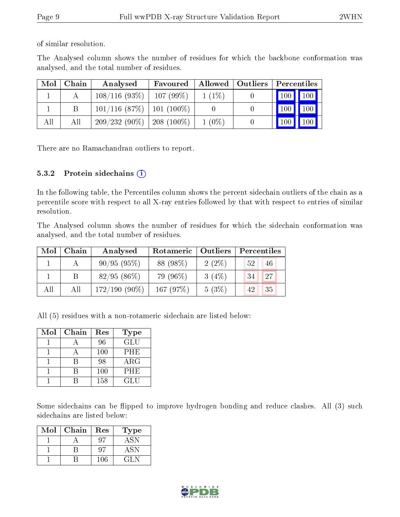of similar resolution.

The Analysed column shows the number of residues for which the backbone conformation was analysed, and the total number of residues.

| Mol | Chain | Analysed                       | Favoured    |          | Allowed   Outliers | Percentiles |               |
|-----|-------|--------------------------------|-------------|----------|--------------------|-------------|---------------|
|     |       | $108/116(93\%)$                | $107(99\%)$ | $1(1\%)$ |                    | 100 100     |               |
|     |       | $101/116$ (87\%)   101 (100\%) |             |          |                    |             | $100$   $100$ |
| All | All   | $209/232(90\%)$   208 (100\%)  |             | $1(0\%)$ |                    | 100         | $\vert$ 100   |

There are no Ramachandran outliers to report.

#### 5.3.2 Protein sidechains  $(i)$

In the following table, the Percentiles column shows the percent sidechain outliers of the chain as a percentile score with respect to all X-ray entries followed by that with respect to entries of similar resolution.

The Analysed column shows the number of residues for which the sidechain conformation was analysed, and the total number of residues.

| Mol | Chain | Analysed        | Rotameric   | Outliers | Percentiles |
|-----|-------|-----------------|-------------|----------|-------------|
|     |       | $90/95(95\%)$   | 88 (98%)    | $2(2\%)$ | 52<br>46    |
|     |       | $82/95(86\%)$   | 79 (96%)    | $3(4\%)$ | 27<br>34    |
| All | All   | $172/190(90\%)$ | 167 $(97%)$ | 5(3%)    | 35<br>42    |

All (5) residues with a non-rotameric sidechain are listed below:

| Mol | Chain | Res | Type       |
|-----|-------|-----|------------|
|     |       | 96  | <b>GLU</b> |
|     |       | 100 | PHE        |
|     |       | 98  | $\rm{ARG}$ |
|     |       | 100 | PHE        |
|     |       | 158 | GL U       |

Some sidechains can be flipped to improve hydrogen bonding and reduce clashes. All (3) such sidechains are listed below:

| Mol | Chain | Res | Type   |
|-----|-------|-----|--------|
|     |       |     | $-4SN$ |
|     |       |     | ASN    |
|     |       | 106 | (21.N  |

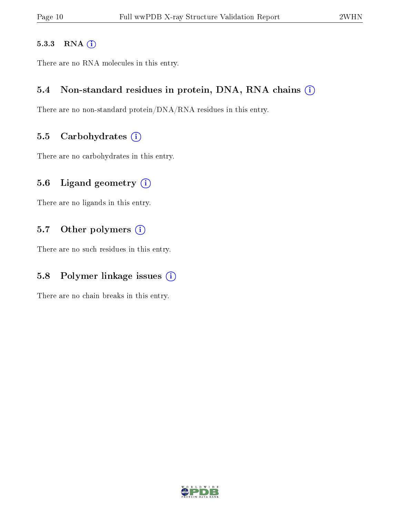#### 5.3.3 RNA [O](https://www.wwpdb.org/validation/2017/XrayValidationReportHelp#rna)i

There are no RNA molecules in this entry.

#### 5.4 Non-standard residues in protein, DNA, RNA chains (i)

There are no non-standard protein/DNA/RNA residues in this entry.

#### 5.5 Carbohydrates  $(i)$

There are no carbohydrates in this entry.

#### 5.6 Ligand geometry  $(i)$

There are no ligands in this entry.

#### 5.7 [O](https://www.wwpdb.org/validation/2017/XrayValidationReportHelp#nonstandard_residues_and_ligands)ther polymers (i)

There are no such residues in this entry.

### 5.8 Polymer linkage issues  $(i)$

There are no chain breaks in this entry.